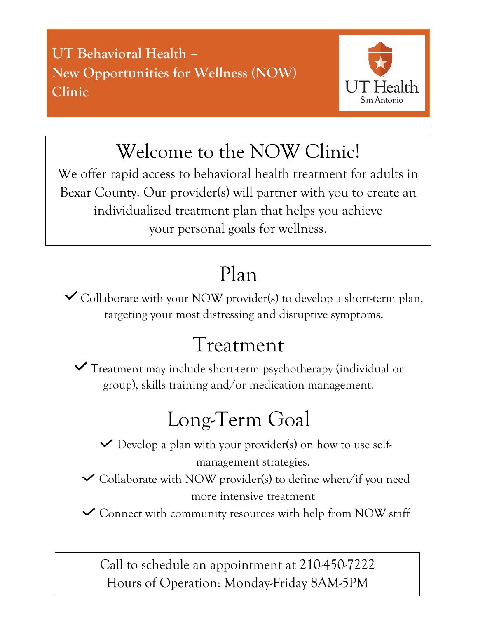**UT Behavioral Health – New Opportunities for Wellness (NOW) Clinic** 



Welcome to the NOW Clinic!

We offer rapid access to behavioral health treatment for adults in Bexar County. Our provider(s) will partner with you to create an individualized treatment plan that helps you achieve your personal goals for wellness.

## Plan

 $\checkmark$  Collaborate with your NOW provider(s) to develop a short-term plan, targeting your most distressing and disruptive symptoms.

## Treatment

Treatment may include short-term psychotherapy (individual or group), skills training and/or medication management.

# Long-Term Goal

 $\vee$  Develop a plan with your provider(s) on how to use self-

management strategies.

- $\checkmark$  Collaborate with NOW provider(s) to define when/if you need more intensive treatment
- Connect with community resources with help from NOW staff

Call to schedule an appointment at 210-450-7222 Hours of Operation: Monday-Friday 8AM-5PM